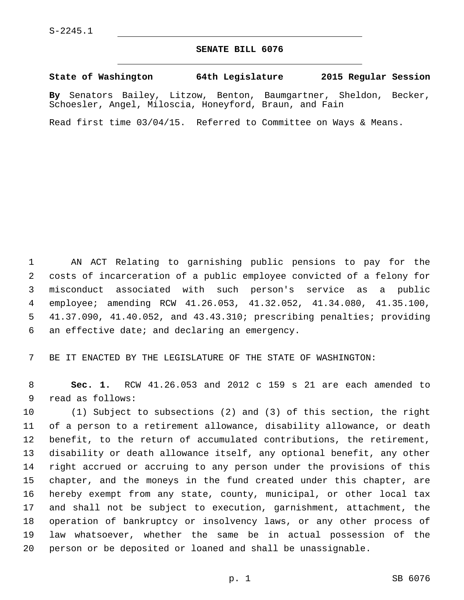## **SENATE BILL 6076**

**State of Washington 64th Legislature 2015 Regular Session**

**By** Senators Bailey, Litzow, Benton, Baumgartner, Sheldon, Becker, Schoesler, Angel, Miloscia, Honeyford, Braun, and Fain

Read first time 03/04/15. Referred to Committee on Ways & Means.

 AN ACT Relating to garnishing public pensions to pay for the costs of incarceration of a public employee convicted of a felony for misconduct associated with such person's service as a public employee; amending RCW 41.26.053, 41.32.052, 41.34.080, 41.35.100, 41.37.090, 41.40.052, and 43.43.310; prescribing penalties; providing 6 an effective date; and declaring an emergency.

BE IT ENACTED BY THE LEGISLATURE OF THE STATE OF WASHINGTON:

 **Sec. 1.** RCW 41.26.053 and 2012 c 159 s 21 are each amended to 9 read as follows:

 (1) Subject to subsections (2) and (3) of this section, the right of a person to a retirement allowance, disability allowance, or death benefit, to the return of accumulated contributions, the retirement, disability or death allowance itself, any optional benefit, any other right accrued or accruing to any person under the provisions of this chapter, and the moneys in the fund created under this chapter, are hereby exempt from any state, county, municipal, or other local tax and shall not be subject to execution, garnishment, attachment, the operation of bankruptcy or insolvency laws, or any other process of law whatsoever, whether the same be in actual possession of the person or be deposited or loaned and shall be unassignable.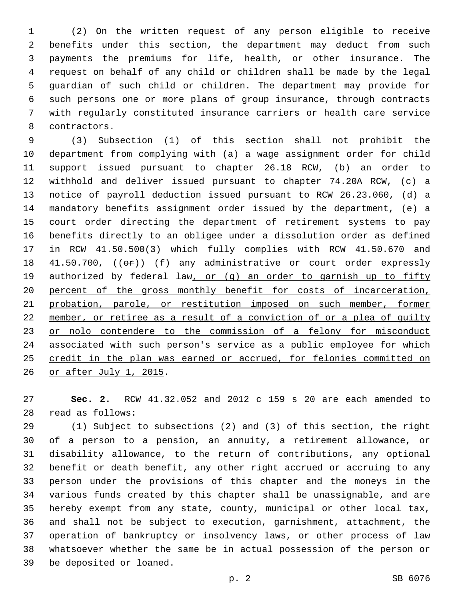(2) On the written request of any person eligible to receive benefits under this section, the department may deduct from such payments the premiums for life, health, or other insurance. The request on behalf of any child or children shall be made by the legal guardian of such child or children. The department may provide for such persons one or more plans of group insurance, through contracts with regularly constituted insurance carriers or health care service 8 contractors.

 (3) Subsection (1) of this section shall not prohibit the department from complying with (a) a wage assignment order for child support issued pursuant to chapter 26.18 RCW, (b) an order to withhold and deliver issued pursuant to chapter 74.20A RCW, (c) a notice of payroll deduction issued pursuant to RCW 26.23.060, (d) a mandatory benefits assignment order issued by the department, (e) a court order directing the department of retirement systems to pay benefits directly to an obligee under a dissolution order as defined in RCW 41.50.500(3) which fully complies with RCW 41.50.670 and 18 41.50.700, ((or)) (f) any administrative or court order expressly 19 authorized by federal law, or (g) an order to garnish up to fifty percent of the gross monthly benefit for costs of incarceration, 21 probation, parole, or restitution imposed on such member, former member, or retiree as a result of a conviction of or a plea of guilty or nolo contendere to the commission of a felony for misconduct associated with such person's service as a public employee for which credit in the plan was earned or accrued, for felonies committed on 26 or after July 1, 2015.

 **Sec. 2.** RCW 41.32.052 and 2012 c 159 s 20 are each amended to read as follows:28

 (1) Subject to subsections (2) and (3) of this section, the right of a person to a pension, an annuity, a retirement allowance, or disability allowance, to the return of contributions, any optional benefit or death benefit, any other right accrued or accruing to any person under the provisions of this chapter and the moneys in the various funds created by this chapter shall be unassignable, and are hereby exempt from any state, county, municipal or other local tax, and shall not be subject to execution, garnishment, attachment, the operation of bankruptcy or insolvency laws, or other process of law whatsoever whether the same be in actual possession of the person or 39 be deposited or loaned.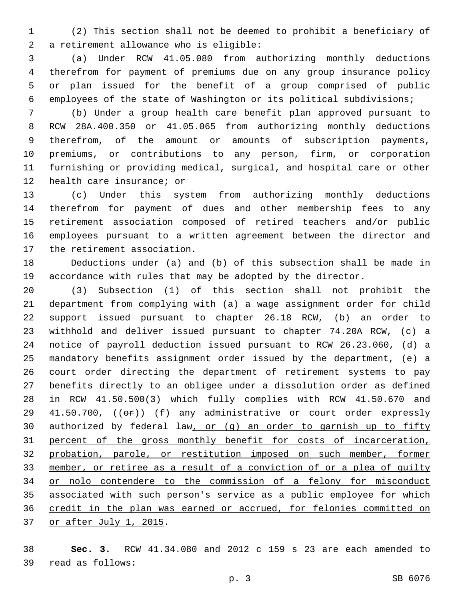(2) This section shall not be deemed to prohibit a beneficiary of 2 a retirement allowance who is eligible:

 (a) Under RCW 41.05.080 from authorizing monthly deductions therefrom for payment of premiums due on any group insurance policy or plan issued for the benefit of a group comprised of public employees of the state of Washington or its political subdivisions;

 (b) Under a group health care benefit plan approved pursuant to RCW 28A.400.350 or 41.05.065 from authorizing monthly deductions therefrom, of the amount or amounts of subscription payments, premiums, or contributions to any person, firm, or corporation furnishing or providing medical, surgical, and hospital care or other 12 health care insurance; or

 (c) Under this system from authorizing monthly deductions therefrom for payment of dues and other membership fees to any retirement association composed of retired teachers and/or public employees pursuant to a written agreement between the director and 17 the retirement association.

 Deductions under (a) and (b) of this subsection shall be made in accordance with rules that may be adopted by the director.

 (3) Subsection (1) of this section shall not prohibit the department from complying with (a) a wage assignment order for child support issued pursuant to chapter 26.18 RCW, (b) an order to withhold and deliver issued pursuant to chapter 74.20A RCW, (c) a notice of payroll deduction issued pursuant to RCW 26.23.060, (d) a mandatory benefits assignment order issued by the department, (e) a court order directing the department of retirement systems to pay benefits directly to an obligee under a dissolution order as defined in RCW 41.50.500(3) which fully complies with RCW 41.50.670 and  $41.50.700$ ,  $((e^{\frac{1}{2}})$  (f) any administrative or court order expressly 30 authorized by federal law, or (g) an order to garnish up to fifty percent of the gross monthly benefit for costs of incarceration, probation, parole, or restitution imposed on such member, former member, or retiree as a result of a conviction of or a plea of guilty or nolo contendere to the commission of a felony for misconduct associated with such person's service as a public employee for which 36 credit in the plan was earned or accrued, for felonies committed on 37 or after July 1, 2015.

 **Sec. 3.** RCW 41.34.080 and 2012 c 159 s 23 are each amended to read as follows:39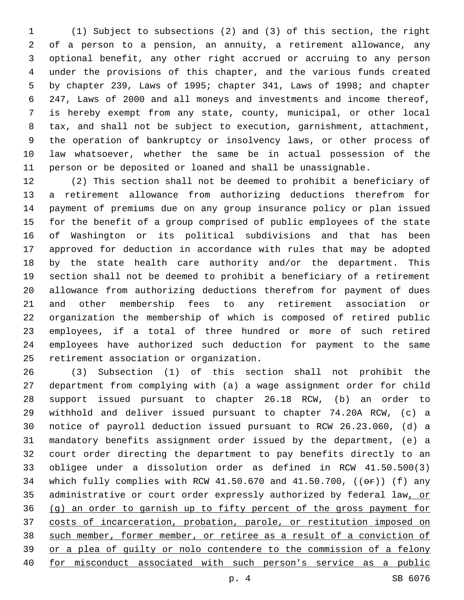(1) Subject to subsections (2) and (3) of this section, the right of a person to a pension, an annuity, a retirement allowance, any optional benefit, any other right accrued or accruing to any person under the provisions of this chapter, and the various funds created by chapter 239, Laws of 1995; chapter 341, Laws of 1998; and chapter 247, Laws of 2000 and all moneys and investments and income thereof, is hereby exempt from any state, county, municipal, or other local tax, and shall not be subject to execution, garnishment, attachment, the operation of bankruptcy or insolvency laws, or other process of law whatsoever, whether the same be in actual possession of the person or be deposited or loaned and shall be unassignable.

 (2) This section shall not be deemed to prohibit a beneficiary of a retirement allowance from authorizing deductions therefrom for payment of premiums due on any group insurance policy or plan issued for the benefit of a group comprised of public employees of the state of Washington or its political subdivisions and that has been approved for deduction in accordance with rules that may be adopted by the state health care authority and/or the department. This section shall not be deemed to prohibit a beneficiary of a retirement allowance from authorizing deductions therefrom for payment of dues and other membership fees to any retirement association or organization the membership of which is composed of retired public employees, if a total of three hundred or more of such retired employees have authorized such deduction for payment to the same 25 retirement association or organization.

 (3) Subsection (1) of this section shall not prohibit the department from complying with (a) a wage assignment order for child support issued pursuant to chapter 26.18 RCW, (b) an order to withhold and deliver issued pursuant to chapter 74.20A RCW, (c) a notice of payroll deduction issued pursuant to RCW 26.23.060, (d) a mandatory benefits assignment order issued by the department, (e) a court order directing the department to pay benefits directly to an obligee under a dissolution order as defined in RCW 41.50.500(3) 34 which fully complies with RCW  $41.50.670$  and  $41.50.700$ , (( $\theta$ \*)) (f) any 35 administrative or court order expressly authorized by federal law, or (g) an order to garnish up to fifty percent of the gross payment for costs of incarceration, probation, parole, or restitution imposed on such member, former member, or retiree as a result of a conviction of or a plea of guilty or nolo contendere to the commission of a felony for misconduct associated with such person's service as a public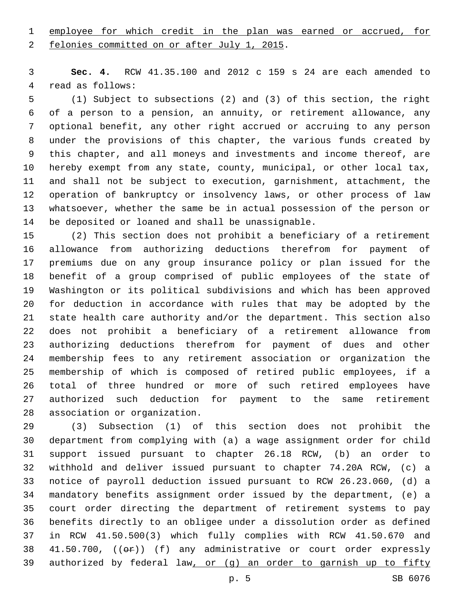employee for which credit in the plan was earned or accrued, for

2 felonies committed on or after July 1, 2015.

 **Sec. 4.** RCW 41.35.100 and 2012 c 159 s 24 are each amended to 4 read as follows:

 (1) Subject to subsections (2) and (3) of this section, the right of a person to a pension, an annuity, or retirement allowance, any optional benefit, any other right accrued or accruing to any person under the provisions of this chapter, the various funds created by this chapter, and all moneys and investments and income thereof, are hereby exempt from any state, county, municipal, or other local tax, and shall not be subject to execution, garnishment, attachment, the operation of bankruptcy or insolvency laws, or other process of law whatsoever, whether the same be in actual possession of the person or 14 be deposited or loaned and shall be unassignable.

 (2) This section does not prohibit a beneficiary of a retirement allowance from authorizing deductions therefrom for payment of premiums due on any group insurance policy or plan issued for the benefit of a group comprised of public employees of the state of Washington or its political subdivisions and which has been approved for deduction in accordance with rules that may be adopted by the state health care authority and/or the department. This section also does not prohibit a beneficiary of a retirement allowance from authorizing deductions therefrom for payment of dues and other membership fees to any retirement association or organization the membership of which is composed of retired public employees, if a total of three hundred or more of such retired employees have authorized such deduction for payment to the same retirement 28 association or organization.

 (3) Subsection (1) of this section does not prohibit the department from complying with (a) a wage assignment order for child support issued pursuant to chapter 26.18 RCW, (b) an order to withhold and deliver issued pursuant to chapter 74.20A RCW, (c) a notice of payroll deduction issued pursuant to RCW 26.23.060, (d) a mandatory benefits assignment order issued by the department, (e) a court order directing the department of retirement systems to pay benefits directly to an obligee under a dissolution order as defined in RCW 41.50.500(3) which fully complies with RCW 41.50.670 and 38 41.50.700, (( $\Theta$ )) (f) any administrative or court order expressly 39 authorized by federal law, or (g) an order to garnish up to fifty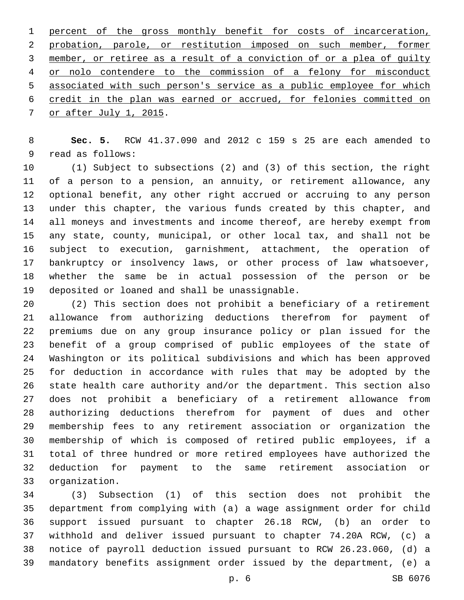percent of the gross monthly benefit for costs of incarceration, probation, parole, or restitution imposed on such member, former member, or retiree as a result of a conviction of or a plea of guilty or nolo contendere to the commission of a felony for misconduct associated with such person's service as a public employee for which credit in the plan was earned or accrued, for felonies committed on 7 or after July 1, 2015.

 **Sec. 5.** RCW 41.37.090 and 2012 c 159 s 25 are each amended to 9 read as follows:

 (1) Subject to subsections (2) and (3) of this section, the right of a person to a pension, an annuity, or retirement allowance, any optional benefit, any other right accrued or accruing to any person under this chapter, the various funds created by this chapter, and all moneys and investments and income thereof, are hereby exempt from any state, county, municipal, or other local tax, and shall not be subject to execution, garnishment, attachment, the operation of bankruptcy or insolvency laws, or other process of law whatsoever, whether the same be in actual possession of the person or be 19 deposited or loaned and shall be unassignable.

 (2) This section does not prohibit a beneficiary of a retirement allowance from authorizing deductions therefrom for payment of premiums due on any group insurance policy or plan issued for the benefit of a group comprised of public employees of the state of Washington or its political subdivisions and which has been approved for deduction in accordance with rules that may be adopted by the state health care authority and/or the department. This section also does not prohibit a beneficiary of a retirement allowance from authorizing deductions therefrom for payment of dues and other membership fees to any retirement association or organization the membership of which is composed of retired public employees, if a total of three hundred or more retired employees have authorized the deduction for payment to the same retirement association or organization.33

 (3) Subsection (1) of this section does not prohibit the department from complying with (a) a wage assignment order for child support issued pursuant to chapter 26.18 RCW, (b) an order to withhold and deliver issued pursuant to chapter 74.20A RCW, (c) a notice of payroll deduction issued pursuant to RCW 26.23.060, (d) a mandatory benefits assignment order issued by the department, (e) a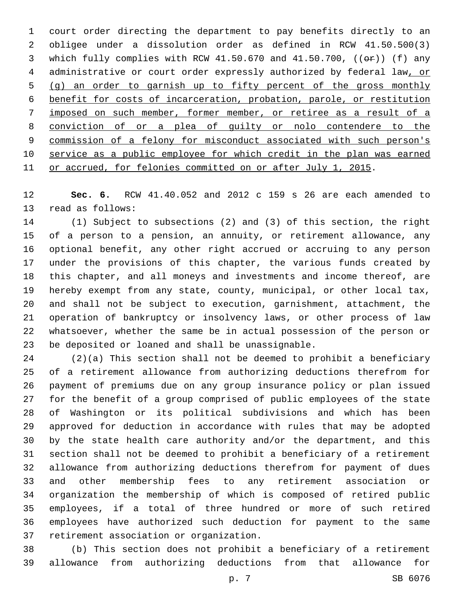court order directing the department to pay benefits directly to an obligee under a dissolution order as defined in RCW 41.50.500(3) 3 which fully complies with RCW  $41.50.670$  and  $41.50.700$ , (( $\Theta$ r)) (f) any 4 administrative or court order expressly authorized by federal law, or (g) an order to garnish up to fifty percent of the gross monthly benefit for costs of incarceration, probation, parole, or restitution imposed on such member, former member, or retiree as a result of a conviction of or a plea of guilty or nolo contendere to the commission of a felony for misconduct associated with such person's service as a public employee for which credit in the plan was earned or accrued, for felonies committed on or after July 1, 2015.

 **Sec. 6.** RCW 41.40.052 and 2012 c 159 s 26 are each amended to 13 read as follows:

 (1) Subject to subsections (2) and (3) of this section, the right of a person to a pension, an annuity, or retirement allowance, any optional benefit, any other right accrued or accruing to any person under the provisions of this chapter, the various funds created by this chapter, and all moneys and investments and income thereof, are hereby exempt from any state, county, municipal, or other local tax, and shall not be subject to execution, garnishment, attachment, the operation of bankruptcy or insolvency laws, or other process of law whatsoever, whether the same be in actual possession of the person or 23 be deposited or loaned and shall be unassignable.

 (2)(a) This section shall not be deemed to prohibit a beneficiary of a retirement allowance from authorizing deductions therefrom for payment of premiums due on any group insurance policy or plan issued for the benefit of a group comprised of public employees of the state of Washington or its political subdivisions and which has been approved for deduction in accordance with rules that may be adopted by the state health care authority and/or the department, and this section shall not be deemed to prohibit a beneficiary of a retirement allowance from authorizing deductions therefrom for payment of dues and other membership fees to any retirement association or organization the membership of which is composed of retired public employees, if a total of three hundred or more of such retired employees have authorized such deduction for payment to the same 37 retirement association or organization.

 (b) This section does not prohibit a beneficiary of a retirement allowance from authorizing deductions from that allowance for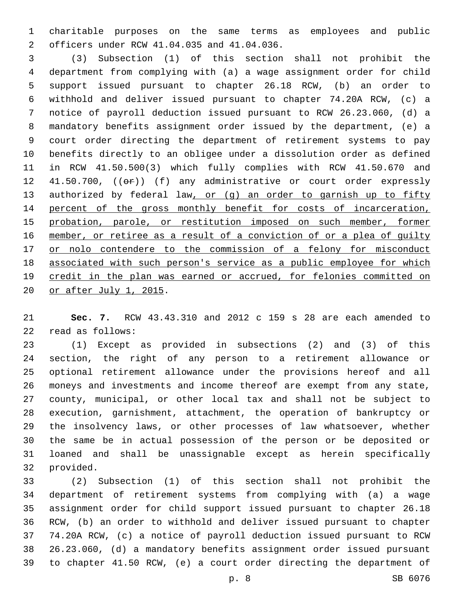charitable purposes on the same terms as employees and public officers under RCW 41.04.035 and 41.04.036.2

 (3) Subsection (1) of this section shall not prohibit the department from complying with (a) a wage assignment order for child support issued pursuant to chapter 26.18 RCW, (b) an order to withhold and deliver issued pursuant to chapter 74.20A RCW, (c) a notice of payroll deduction issued pursuant to RCW 26.23.060, (d) a mandatory benefits assignment order issued by the department, (e) a court order directing the department of retirement systems to pay benefits directly to an obligee under a dissolution order as defined in RCW 41.50.500(3) which fully complies with RCW 41.50.670 and 12 41.50.700,  $((\theta \cdot \hat{r}))$  (f) any administrative or court order expressly 13 authorized by federal law, or (g) an order to garnish up to fifty percent of the gross monthly benefit for costs of incarceration, probation, parole, or restitution imposed on such member, former member, or retiree as a result of a conviction of or a plea of guilty 17 or nolo contendere to the commission of a felony for misconduct associated with such person's service as a public employee for which credit in the plan was earned or accrued, for felonies committed on 20 or after July 1, 2015.

 **Sec. 7.** RCW 43.43.310 and 2012 c 159 s 28 are each amended to 22 read as follows:

 (1) Except as provided in subsections (2) and (3) of this section, the right of any person to a retirement allowance or optional retirement allowance under the provisions hereof and all moneys and investments and income thereof are exempt from any state, county, municipal, or other local tax and shall not be subject to execution, garnishment, attachment, the operation of bankruptcy or the insolvency laws, or other processes of law whatsoever, whether the same be in actual possession of the person or be deposited or loaned and shall be unassignable except as herein specifically 32 provided.

 (2) Subsection (1) of this section shall not prohibit the department of retirement systems from complying with (a) a wage assignment order for child support issued pursuant to chapter 26.18 RCW, (b) an order to withhold and deliver issued pursuant to chapter 74.20A RCW, (c) a notice of payroll deduction issued pursuant to RCW 26.23.060, (d) a mandatory benefits assignment order issued pursuant to chapter 41.50 RCW, (e) a court order directing the department of